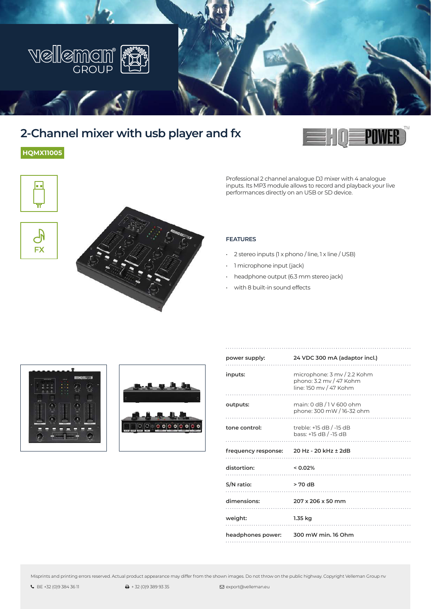

# **2-Channel mixer with usb player and fx**

**HQMX11005**

le e

 $\overline{\mathbb{C}}$ **FX** 



Professional 2 channel analogue DJ mixer with 4 analogue inputs. Its MP3 module allows to record and playback your live performances directly on an USB or SD device.



- 2 stereo inputs (1 x phono / line, 1 x line / USB)
- 1 microphone input (jack)
- headphone output (6.3 mm stereo jack)
- with 8 built-in sound effects





| power supply:                            | 24 VDC 300 mA (adaptor incl.)                                                    |
|------------------------------------------|----------------------------------------------------------------------------------|
| inputs:                                  | microphone: 3 mv / 2.2 Kohm<br>phono: 3.2 mv / 47 Kohm<br>line: 150 mv / 47 Kohm |
| outputs:                                 | main: 0 dB / 1 V 600 ohm<br>phone: 300 mW / 16-32 ohm                            |
| tone control:                            | treble: $+15$ dB $/$ -15 dB<br>bass: +15 dB / -15 dB                             |
|                                          |                                                                                  |
| frequency response: 20 Hz - 20 kHz ± 2dB |                                                                                  |
| distortion:<br>$< 0.02\%$                |                                                                                  |
| S/N ratio:                               | $> 70 \text{ dB}$                                                                |
| dimensions:                              | 207 x 206 x 50 mm                                                                |
| weight:                                  | 1.35 kg                                                                          |

Misprints and printing errors reserved. Actual product appearance may differ from the shown images. Do not throw on the public highway. Copyright Velleman Group nv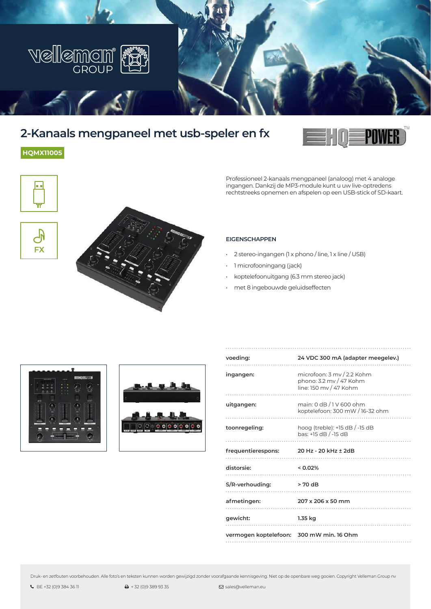

## **2-Kanaals mengpaneel met usb-speler en fx**







Professioneel 2-kanaals mengpaneel (analoog) met 4 analoge ingangen. Dankzij de MP3-module kunt u uw live-optredens rechtstreeks opnemen en afspelen op een USB-stick of SD-kaart.

#### **EIGENSCHAPPEN**

- 2 stereo-ingangen (1 x phono / line, 1 x line / USB)
- 1 microfooningang (jack)
- koptelefoonuitgang (6.3 mm stereo jack)
- met 8 ingebouwde geluidseffecten





| voeding:                                | 24 VDC 300 mA (adapter meegelev.)                                               |
|-----------------------------------------|---------------------------------------------------------------------------------|
| ingangen:                               | microfoon: 3 mv / 2.2 Kohm<br>phono: 3.2 mv / 47 Kohm<br>line: 150 mv / 47 Kohm |
| uitgangen:                              | main: 0 dB / 1 V 600 ohm<br>koptelefoon: 300 mW / 16-32 ohm                     |
| toonregeling:                           | hoog (treble): $+15$ dB $/$ -15 dB<br>bas: +15 dB / -15 dB                      |
|                                         |                                                                                 |
| frequentierespons: 20 Hz - 20 kHz ± 2dB |                                                                                 |
| distorsie:                              | $< 0.02\%$                                                                      |
| S/R-verhouding:                         | $> 70 \text{ dB}$                                                               |
| afmetingen:                             | 207 x 206 x 50 mm                                                               |
| gewicht:                                | 1.35 kg                                                                         |

Druk- en zetfouten voorbehouden. Alle foto's en teksten kunnen worden gewijzigd zonder voorafgaande kennisgeving. Niet op de openbare weg gooien. Copyright Velleman Group nv